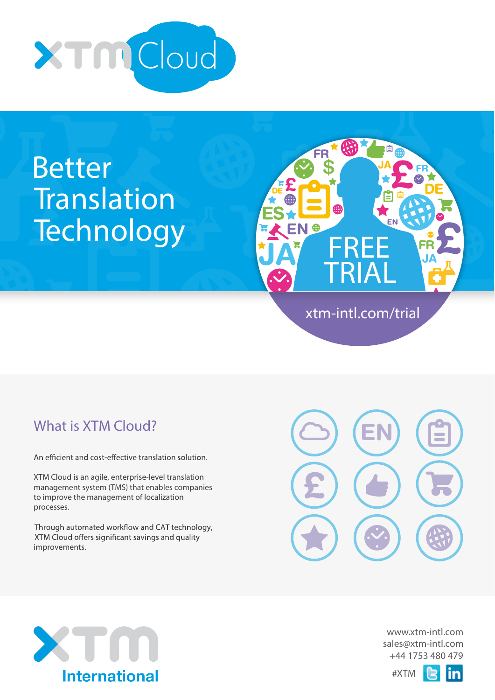

# Better **Translation Technology**



# What is **XTM** Cloud?

An efficient and cost-effective translation solution.

XTM Cloud is an agile, enterprise-level translation management system (TMS) that enables companies to improve the management of localization processes.

Through automated workflow and CAT technology, XTM Cloud offers significant savings and quality improvements.







#XTM